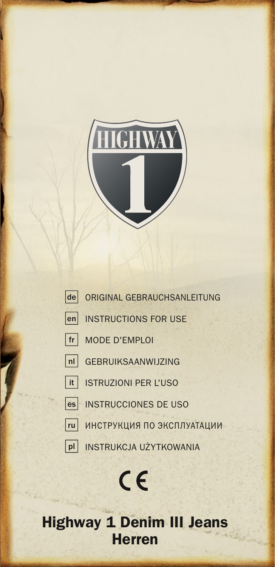

- $|de$ ORIGINAL GEBRAUCHSANLEITUNG
- **INSTRUCTIONS FOR USE**  $|en|$
- fr MODE D'EMPLOI
- $n<sub>l</sub>$ GEBRUIKSAANWIJZING
- it **ISTRUZIONI PER L'USO**
- $\left| \mathbf{e} \mathbf{s} \right|$ **INSTRUCCIONES DE USO**
- $|ru|$ ИНСТРУКЦИЯ ПО ЭКСПЛУАТАЦИИ
- $|p|$ **INSTRUKCJA UŻYTKOWANIA**

# $C<sub>6</sub>$

**Highway 1 Denim III Jeans Herren**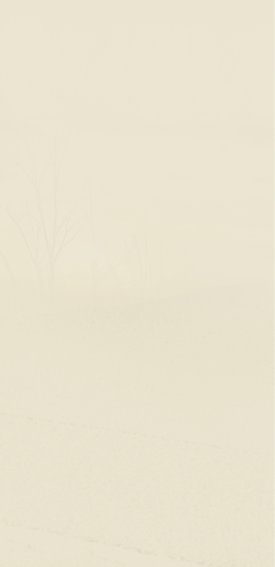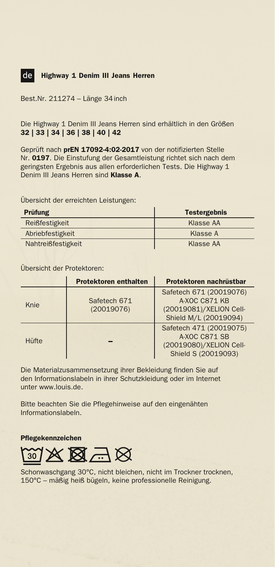### de Highway 1 Denim III Jeans Herren

Best.Nr. 211274 – Länge 34 inch

Die Highway 1 Denim III Jeans Herren sind erhältlich in den Größen 32 | 33 | 34 | 36 | 38 | 40 | 42

Geprüft nach prEN 17092-4:02-2017 von der notifizierten Stelle Nr. 0197. Die Einstufung der Gesamtleistung richtet sich nach dem geringsten Ergebnis aus allen erforderlichen Tests. Die Highway 1 Denim III Jeans Herren sind Klasse A.

Übersicht der erreichten Leistungen:

| <b>Prüfung</b>     | <b>Testergebnis</b> |
|--------------------|---------------------|
| Reißfestigkeit     | Klasse AA           |
| Abriebfestigkeit   | Klasse A            |
| Nahtreißfestigkeit | Klasse AA           |

Übersicht der Protektoren:

|       | <b>Protektoren enthalten</b> | Protektoren nachrüstbar                                                                      |
|-------|------------------------------|----------------------------------------------------------------------------------------------|
| Knie  | Safetech 671<br>(20019076)   | Safetech 671 (20019076)<br>A-XOC C871 KB<br>(20019081)/XELION Cell-<br>Shield M/L (20019094) |
| Hüfte |                              | Safetech 471 (20019075)<br>A-XOC C871 SB<br>(20019080)/XELION Cell-<br>Shield S (20019093)   |

Die Materialzusammensetzung ihrer Bekleidung finden Sie auf den Informationslabeln in ihrer Schutzkleidung oder im Internet unter www.louis.de.

Bitte beachten Sie die Pflegehinweise auf den eingenähten Informationslabeln.

Pflegekennzeichen



Schonwaschgang 30°C, nicht bleichen, nicht im Trockner trocknen, 150°C – mäßig heiß bügeln, keine professionelle Reinigung.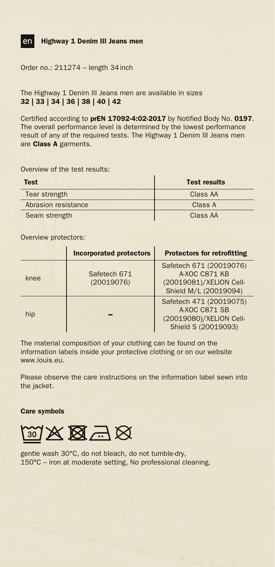## en

Highway 1 Denim III Jeans men

Order no.: 211274 – length 34 inch

The Highway 1 Denim III Jeans men are available in sizes 32 | 33 | 34 | 36 | 38 | 40 | 42

Certified according to prEN 17092-4:02-2017 by Notified Body No. 0197. The overall performance level is determined by the lowest performance result of any of the required tests. The Highway 1 Denim III Jeans men are Class A garments.

Overview of the test results:

| <b>Test</b>         | <b>Test results</b> |
|---------------------|---------------------|
| Tear strength       | Class AA            |
| Abrasion resistance | Class A             |
| Seam strength       | Class AA            |

Overview protectors:

|      | <b>Incorporated protectors</b> | <b>Protectors for retrofitting</b>                                                           |
|------|--------------------------------|----------------------------------------------------------------------------------------------|
| knee | Safetech 671<br>(20019076)     | Safetech 671 (20019076)<br>A-XOC C871 KB<br>(20019081)/XELION Cell-<br>Shield M/L (20019094) |
| hip  |                                | Safetech 471 (20019075)<br>A-XOC C871 SB<br>(20019080)/XELION Cell-<br>Shield S (20019093)   |

The material composition of your clothing can be found on the information labels inside your protective clothing or on our website www.louis.eu.

Please observe the care instructions on the information label sewn into the jacket.

## Care symbols



gentle wash 30°C, do not bleach, do not tumble-dry, 150°C – iron at moderate setting, No professional cleaning.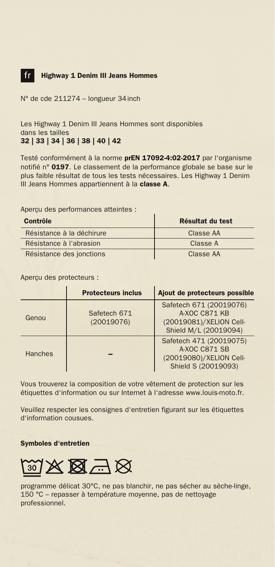#### $fr$ Highway 1 Denim III Jeans Hommes

N° de cde 211274 – longueur 34 inch

Les Highway 1 Denim III Jeans Hommes sont disponibles dans les tailles32 | 33 | 34 | 36 | 38 | 40 | 42

Testé conformément à la norme prEN 17092-4:02-2017 par l'organisme notifié n° 0197. Le classement de la performance globale se base sur le plus faible résultat de tous les tests nécessaires. Les Highway 1 Denim III Jeans Hommes appartiennent à la classe A.

Aperçu des performances atteintes :

| Contrôle                  | Résultat du test |
|---------------------------|------------------|
| Résistance à la déchirure | Classe AA        |
| Résistance à l'abrasion   | Classe A         |
| Résistance des jonctions  | Classe AA        |

Aperçu des protecteurs :

|         | <b>Protecteurs inclus</b>  | Ajout de protecteurs possible                                                                |
|---------|----------------------------|----------------------------------------------------------------------------------------------|
| Genou   | Safetech 671<br>(20019076) | Safetech 671 (20019076)<br>A-XOC C871 KB<br>(20019081)/XELION Cell-<br>Shield M/L (20019094) |
| Hanches |                            | Safetech 471 (20019075)<br>A-XOC C871 SB<br>(20019080)/XELION Cell-<br>Shield S (20019093)   |

Vous trouverez la composition de votre vêtement de protection sur les étiquettes d'information ou sur Internet à l'adresse www.louis-moto.fr.

Veuillez respecter les consignes d'entretien figurant sur les étiquettes d'information cousues.

Symboles d'entretien



programme délicat 30°C, ne pas blanchir, ne pas sécher au sèche-linge, 150 °C – repasser à température moyenne, pas de nettoyage professionnel.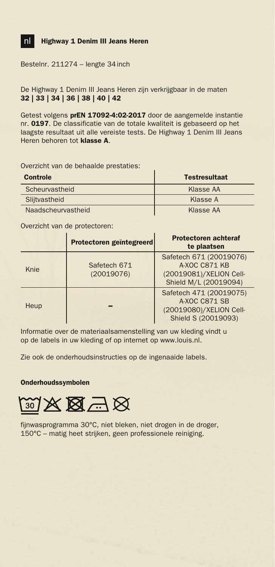#### $n$ | Highway 1 Denim III Jeans Heren

Bestelnr. 211274 – lengte 34 inch

De Highway 1 Denim III Jeans Heren zijn verkrijgbaar in de maten 32 | 33 | 34 | 36 | 38 | 40 | 42

Getest volgens prEN 17092-4:02-2017 door de aangemelde instantie nr. 0197. De classificatie van de totale kwaliteit is gebaseerd op het laagste resultaat uit alle vereiste tests. De Highway 1 Denim III Jeans Heren behoren tot klasse A.

Overzicht van de behaalde prestaties:

| Controle           | <b>Testresultaat</b> |
|--------------------|----------------------|
| Scheurvastheid     | Klasse AA            |
| Slijtvastheid      | Klasse A             |
| Naadscheurvastheid | Klasse AA            |

Overzicht van de protectoren:

|      | Protectoren geïntegreerd   | <b>Protectoren achteraf</b><br>te plaatsen                                                   |
|------|----------------------------|----------------------------------------------------------------------------------------------|
| Knie | Safetech 671<br>(20019076) | Safetech 671 (20019076)<br>A-XOC C871 KB<br>(20019081)/XELION Cell-<br>Shield M/L (20019094) |
| Heup |                            | Safetech 471 (20019075)<br>A-XOC C871 SB<br>(20019080)/XELION Cell-<br>Shield S (20019093)   |

Informatie over de materiaalsamenstelling van uw kleding vindt u op de labels in uw kleding of op internet op www.louis.nl.

Zie ook de onderhoudsinstructies op de ingenaaide labels.

Onderhoudssymbolen



fijnwasprogramma 30°C, niet bleken, niet drogen in de droger, 150°C – matig heet strijken, geen professionele reiniging.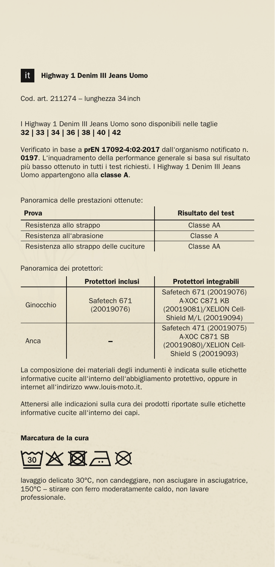#### it. Highway 1 Denim III Jeans Uomo

Cod. art. 211274 – lunghezza 34 inch

I Highway 1 Denim III Jeans Uomo sono disponibili nelle taglie 32 | 33 | 34 | 36 | 38 | 40 | 42

Verificato in base a prEN 17092-4:02-2017 dall'organismo notificato n. 0197. L'inquadramento della performance generale si basa sul risultato più basso ottenuto in tutti i test richiesti. I Highway 1 Denim III Jeans Uomo appartengono alla classe A.

Panoramica delle prestazioni ottenute:

| Prova                                  | <b>Risultato del test</b> |
|----------------------------------------|---------------------------|
| Resistenza allo strappo                | Classe AA                 |
| Resistenza all'abrasione               | Classe A                  |
| Resistenza allo strappo delle cuciture | Classe AA                 |

Panoramica dei protettori:

|           | <b>Protettori inclusi</b>  | Protettori integrabili                                                                       |
|-----------|----------------------------|----------------------------------------------------------------------------------------------|
| Ginocchio | Safetech 671<br>(20019076) | Safetech 671 (20019076)<br>A-XOC C871 KB<br>(20019081)/XELION Cell-<br>Shield M/L (20019094) |
| Anca      |                            | Safetech 471 (20019075)<br>A-XOC C871 SB<br>(20019080)/XELION Cell-<br>Shield S (20019093)   |

La composizione dei materiali degli indumenti è indicata sulle etichette informative cucite all'interno dell'abbigliamento protettivo, oppure in internet all'indirizzo www.louis-moto.it.

Attenersi alle indicazioni sulla cura dei prodotti riportate sulle etichette informative cucite all'interno dei capi.

## Marcatura de la cura



lavaggio delicato 30°C, non candeggiare, non asciugare in asciugatrice, 150°C – stirare con ferro moderatamente caldo, non lavare professionale.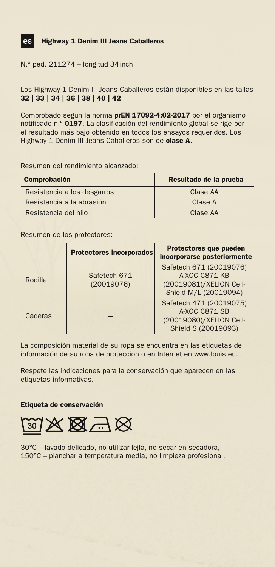#### es Highway 1 Denim III Jeans Caballeros

## N.° ped. 211274 – longitud 34 inch

Los Highway 1 Denim III Jeans Caballeros están disponibles en las tallas 32 | 33 | 34 | 36 | 38 | 40 | 42

Comprobado según la norma prEN 17092-4:02-2017 por el organismo notificado n.º 0197. La clasificación del rendimiento global se rige por el resultado más bajo obtenido en todos los ensayos requeridos. Los Highway 1 Denim III Jeans Caballeros son de clase A.

Resumen del rendimiento alcanzado:

| Comprobación                | Resultado de la prueba |
|-----------------------------|------------------------|
| Resistencia a los desgarros | Clase AA               |
| Resistencia a la abrasión   | Clase A                |
| Resistencia del hilo        | Clase AA               |

Resumen de los protectores:

|         | <b>Protectores incorporados</b> | Protectores que pueden<br>incorporarse posteriormente                                        |
|---------|---------------------------------|----------------------------------------------------------------------------------------------|
| Rodilla | Safetech 671<br>(20019076)      | Safetech 671 (20019076)<br>A-XOC C871 KB<br>(20019081)/XELION Cell-<br>Shield M/L (20019094) |
| Caderas |                                 | Safetech 471 (20019075)<br>A-XOC C871 SB<br>(20019080)/XELION Cell-<br>Shield S (20019093)   |

La composición material de su ropa se encuentra en las etiquetas de información de su ropa de protección o en Internet en www.louis.eu.

Respete las indicaciones para la conservación que aparecen en las etiquetas informativas.

## Etiqueta de conservación



30°C – lavado delicado, no utilizar lejía, no secar en secadora, 150°C – planchar a temperatura media, no limpieza profesional.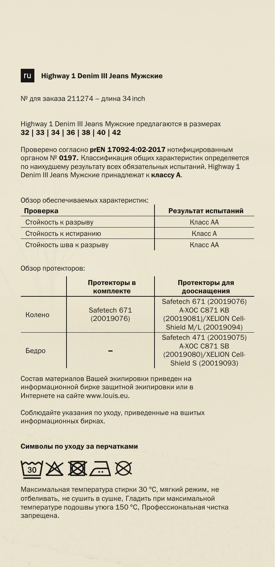### ru Highway 1 Denim III Jeans Мужские

№ для заказа 211274 – длина 34 inch

Highway 1 Denim III Jeans Мужские предлагаются в размерах 32 | 33 | 34 | 36 | 38 | 40 | 42

Проверено согласно prEN 17092-4:02-2017 нотифицированным органом № 0197. Классификация общих характеристик определяется по наихудшему результату всех обязательных испытаний. Highway 1 Denim III Jeans Мужские принадлежат к **классу А**.

Обзор обеспечиваемых характеристик:

| Проверка                | Результат испытаний |
|-------------------------|---------------------|
| Стойкость к разрыву     | Класс АА            |
| Стойкость к истиранию   | Класс А             |
| Стойкость шва к разрыву | Класс АА            |

Обзор протекторов:

|        | Протекторы в<br>комплекте  | Протекторы для<br>дооснащения                                                                |
|--------|----------------------------|----------------------------------------------------------------------------------------------|
| Колено | Safetech 671<br>(20019076) | Safetech 671 (20019076)<br>A-XOC C871 KB<br>(20019081)/XELION Cell-<br>Shield M/L (20019094) |
| Бедро  |                            | Safetech 471 (20019075)<br>A-XOC C871 SB<br>(20019080)/XELION Cell-<br>Shield S (20019093)   |

Состав материалов Вашей экипировки приведен на информационной бирке защитной экипировки или в Интернете на сайте www.louis.eu.

Соблюдайте указания по уходу, приведенные на вшитых информационных бирках.

Символы по уходу за перчатками



Максимальная температура стирки 30 °С, мягкий режим, не отбеливать, не сушить в сушке, Гладить при максимальной температуре подошвы утюга 150 °С, Профессиональная чистка запрещена.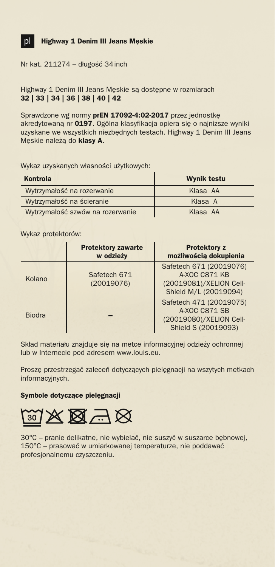## Highway 1 Denim III Jeans Męskie

Nr kat. 211274 – długość 34 inch

Highway 1 Denim III Jeans Męskie są dostępne w rozmiarach 32 | 33 | 34 | 36 | 38 | 40 | 42

Sprawdzone wg normy prEN 17092-4:02-2017 przez jednostkę akredytowaną nr 0197. Ogólna klasyfikacja opiera się o najniższe wyniki uzyskane we wszystkich niezbędnych testach. Highway 1 Denim III Jeans Męskie należą do klasy A.

Wykaz uzyskanych własności użytkowych:

| Kontrola                         | <b>Wynik testu</b> |
|----------------------------------|--------------------|
| Wytrzymałość na rozerwanie       | Klasa AA           |
| Wytrzymałość na ścieranie        | Klasa A            |
| Wytrzymałość szwów na rozerwanie | Klasa AA           |

Wykaz protektorów:

|               | <b>Protektory zawarte</b><br>w odzieży | <b>Protektory z</b><br>możliwościa dokupienia                                                |
|---------------|----------------------------------------|----------------------------------------------------------------------------------------------|
| Kolano        | Safetech 671<br>(20019076)             | Safetech 671 (20019076)<br>A-XOC C871 KB<br>(20019081)/XELION Cell-<br>Shield M/L (20019094) |
| <b>Biodra</b> |                                        | Safetech 471 (20019075)<br>A-XOC C871 SB<br>(20019080)/XELION Cell-<br>Shield S (20019093)   |

Skład materiału znajduje się na metce informacyjnej odzieży ochronnej lub w Internecie pod adresem www.louis.eu.

Proszę przestrzegać zaleceń dotyczących pielęgnacji na wszytych metkach informacyjnych.

Symbole dotyczące pielęgnacji



30°C – pranie delikatne, nie wybielać, nie suszyć w suszarce bębnowej, 150°C – prasować w umiarkowanej temperaturze, nie poddawać profesjonalnemu czyszczeniu.

 $p$ |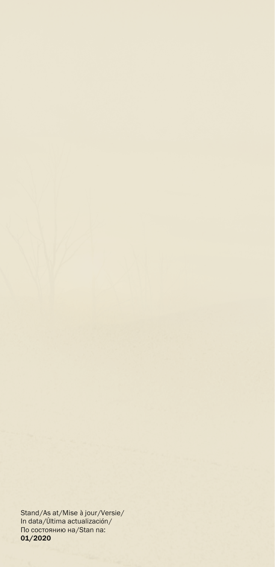Stand/As at/Mise à jour/Versie/ In data/Última actualización/ По состоянию на/Stan na: 01/2020